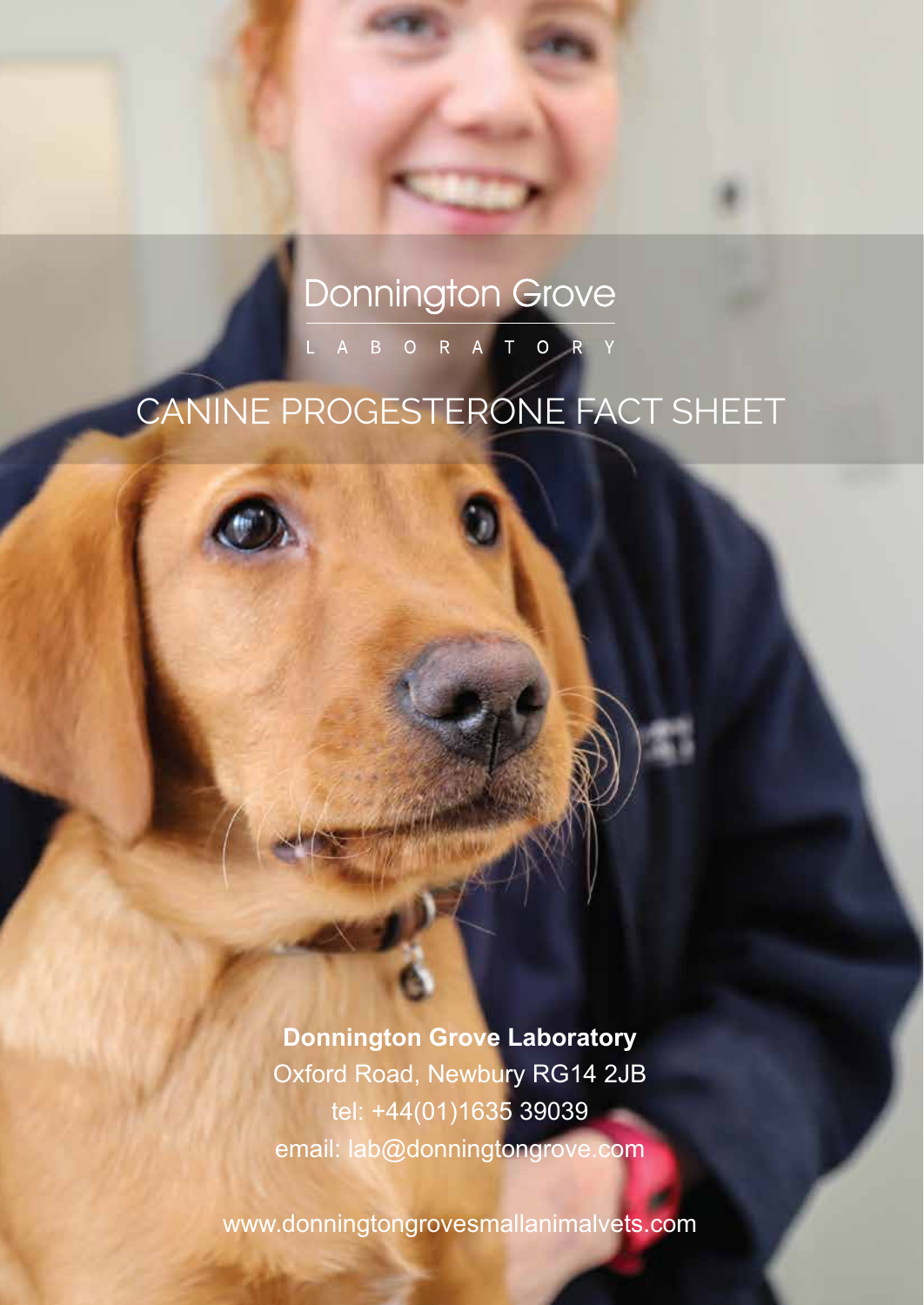# **Donnington Grove** L A B O R A T O R Y

# CANINE PROGESTERONE FACT SHEET

**Donnington Grove Laboratory** Oxford Road, Newbury RG14 2JB tel: +44(01)1635 39039 email: lab@donningtongrove.com

www.donningtongrovesmallanimalvets.com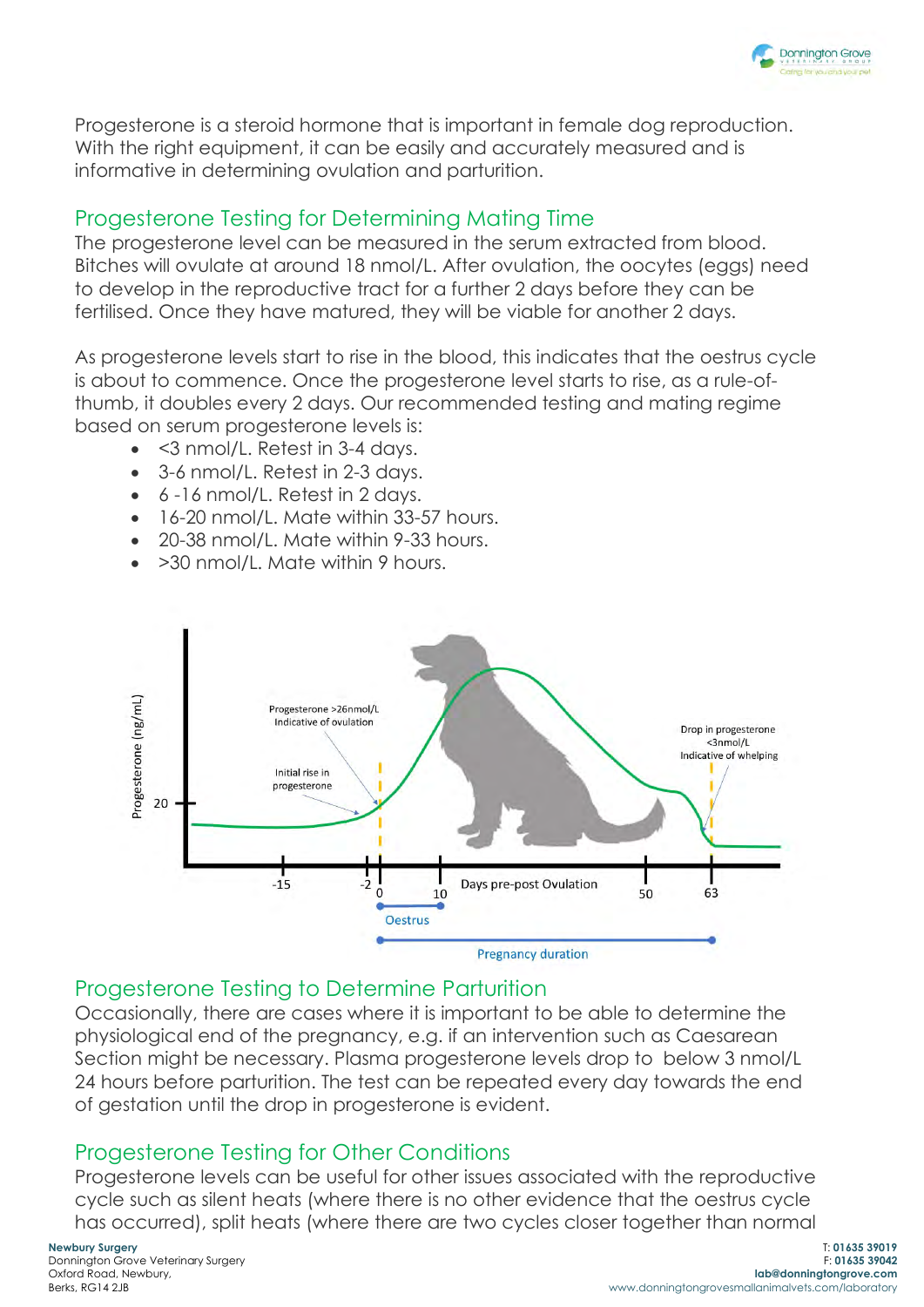

Progesterone is a steroid hormone that is important in female dog reproduction. With the right equipment, it can be easily and accurately measured and is informative in determining ovulation and parturition.

#### Progesterone Testing for Determining Mating Time

The progesterone level can be measured in the serum extracted from blood. Bitches will ovulate at around 18 nmol/L. After ovulation, the oocytes (eggs) need to develop in the reproductive tract for a further 2 days before they can be fertilised. Once they have matured, they will be viable for another 2 days.

As progesterone levels start to rise in the blood, this indicates that the oestrus cycle is about to commence. Once the progesterone level starts to rise, as a rule-ofthumb, it doubles every 2 days. Our recommended testing and mating regime based on serum progesterone levels is:

- <3 nmol/L. Retest in 3-4 days.
- 3-6 nmol/L. Retest in 2-3 days.
- 6 -16 nmol/L. Retest in 2 days.
- 16-20 nmol/L. Mate within 33-57 hours.
- 20-38 nmol/L. Mate within 9-33 hours.
- >30 nmol/L. Mate within 9 hours.



## Progesterone Testing to Determine Parturition

Occasionally, there are cases where it is important to be able to determine the physiological end of the pregnancy, e.g. if an intervention such as Caesarean Section might be necessary. Plasma progesterone levels drop to below 3 nmol/L 24 hours before parturition. The test can be repeated every day towards the end of gestation until the drop in progesterone is evident.

## Progesterone Testing for Other Conditions

Progesterone levels can be useful for other issues associated with the reproductive cycle such as silent heats (where there is no other evidence that the oestrus cycle has occurred), split heats (where there are two cycles closer together than normal

**Newbury Surgery** Donnington Grove Veterinary Surgery Oxford Road, Newbury, Berks, RG14 2JB